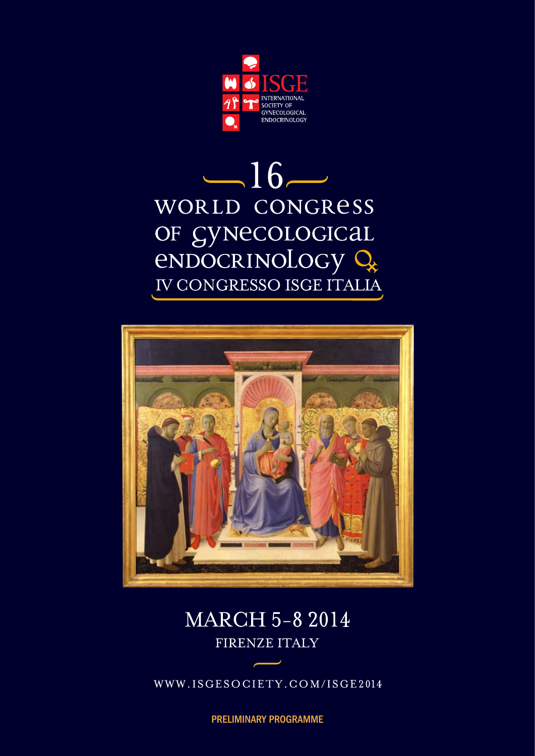

# $-16-$ WORLD CONGRESS OF SYNECOLOGICAL<br>ENDOCRINOLOGY Q IV CONGRESSO ISGE ITALIA



# **MARCH 5-8 2014** FIRENZE ITALY

WWW.ISGESOCIETY.COM/ISGE2014

preliminary programme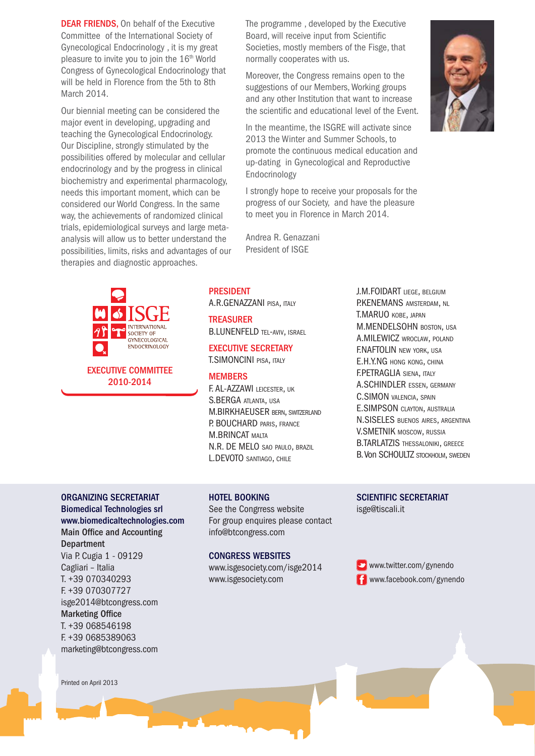**DEAR FRIENDS.** On behalf of the Executive Committee of the International Society of Gynecological Endocrinology , it is my great pleasure to invite you to join the 16<sup>th</sup> World Congress of Gynecological Endocrinology that will be held in Florence from the 5th to 8th March 2014.

Our biennial meeting can be considered the major event in developing, upgrading and teaching the Gynecological Endocrinology. Our Discipline, strongly stimulated by the possibilities offered by molecular and cellular endocrinology and by the progress in clinical biochemistry and experimental pharmacology, needs this important moment, which can be considered our World Congress. In the same way, the achievements of randomized clinical trials, epidemiological surveys and large metaanalysis will allow us to better understand the possibilities, limits, risks and advantages of our therapies and diagnostic approaches.



The programme , developed by the Executive Board, will receive input from Scientific Societies, mostly members of the Fisge, that normally cooperates with us.

Moreover, the Congress remains open to the suggestions of our Members, Working groups and any other Institution that want to increase the scientific and educational level of the Event.

In the meantime, the ISGRE will activate since 2013 the Winter and Summer Schools, to promote the continuous medical education and up-dating in Gynecological and Reproductive Endocrinology

I strongly hope to receive your proposals for the progress of our Society, and have the pleasure to meet you in Florence in March 2014.

Andrea R. Genazzani President of ISGE

**PRESIDENT** A.R.GENAZZANI pisa, italy

**TREASURER** B.LUNENFELD TEL-AVIV, ISRAEL

#### Executive Secretary T.SIMONCINI pisa, italy

#### **MFMRFRS**

F. AL-AZZAWI leicester, uk S.BERGA atlanta, usa M.BIRKHAEUSER bern, switzerland P. BOUCHARD PARIS, FRANCE **M.BRINCAT MALTA** N.R. DE MELO sao paulo, brazil L.DEVOTO santiago, chile

J.M.FOIDART liege, belgium P.KENEMANS amsterdam, nl T.MARUO kobe, japan M.MENDELSOHN boston, usa A.MILEWICZ wroclaw, poland F.NAFTOLIN new york, usa E.H.Y.NG hong kong, china F.PETRAGLIA siena, italy A.SCHINDLER essen, germany C.SIMON valencia, spain E.SIMPSON clayton, australia N.SISELES buenos aires, argentina V.SMETNIK moscow, russia B.TARLATZIS THESSALONIKI, GREECE B. Von SCHOULTZ stockholm, sweden

### ORGANIZING SECRETARIAT

Biomedical Technologies srl www.biomedicaltechnologies.com Main Office and Accounting **Department** Via P. Cugia 1 - 09129 Cagliari – Italia T. +39 070340293 F. +39 070307727 isge2014@btcongress.com Marketing Office T. +39 068546198 F. +39 0685389063 marketing@btcongress.com

#### HOTEL BOOKING

See the Congrress website For group enquires please contact info@btcongress.com

#### CongresS Websites

www.isgesociety.com/isge2014 www.isgesociety.com

SCIENTIFIC SECRETARIAT isge@tiscali.it

www.twitter.com/gynendo **f** www.facebook.com/gynendo



Printed on April 2013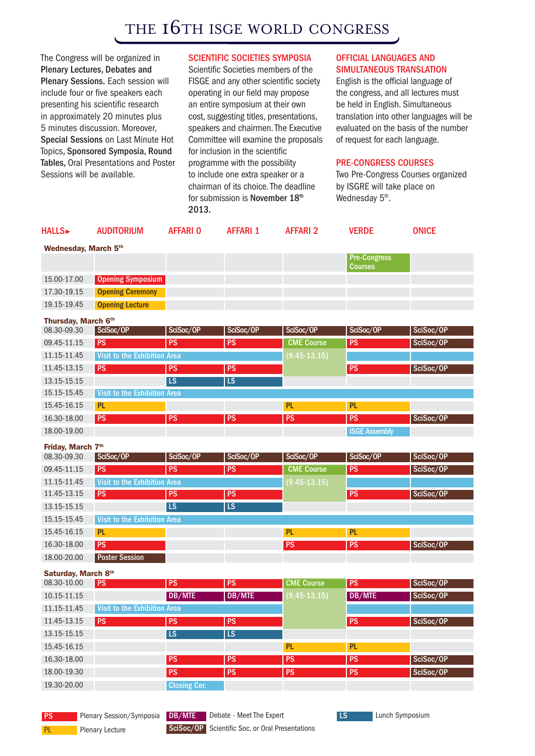### THE 16TH ISGE WORLD CONGRESS

The Congress will be organized in Plenary Lectures, Debates and Plenary Sessions. Each session will include four or five speakers each presenting his scientific research in approximately 20 minutes plus 5 minutes discussion. Moreover, Special Sessions on Last Minute Hot Topics, Sponsored Symposia, Round Tables, Oral Presentations and Poster Sessions will be available.

#### SCIENTIFIC SOCIETIES SYMPOSIA

Scientific Societies members of the FISGE and any other scientific society operating in our field may propose an entire symposium at their own cost, suggesting titles, presentations, speakers and chairmen. The Executive Committee will examine the proposals for inclusion in the scientific programme with the possibility to include one extra speaker or a chairman of its choice. The deadline for submission is November 18th 2013.

#### Official Languages and simultaneous translation

English is the official language of the congress, and all lectures must be held in English. Simultaneous translation into other languages will be evaluated on the basis of the number of request for each language.

#### Pre-Congress courses

Two Pre-Congress Courses organized by ISGRE will take place on Wednesday 5<sup>th</sup>.

| <b>HALLS</b>         | <b>AUDITORIUM</b>            | <b>AFFARIO</b>  | <b>AFFARI 1</b> | <b>AFFARI 2</b>   | <b>VERDE</b>                          | <b>ONICE</b> |  |  |
|----------------------|------------------------------|-----------------|-----------------|-------------------|---------------------------------------|--------------|--|--|
| Wednesday, March 5th |                              |                 |                 |                   |                                       |              |  |  |
|                      |                              |                 |                 |                   | <b>Pre-Congress</b><br><b>Courses</b> |              |  |  |
| 15.00-17.00          | <b>Opening Symposium</b>     |                 |                 |                   |                                       |              |  |  |
| 17.30-19.15          | <b>Opening Ceremony</b>      |                 |                 |                   |                                       |              |  |  |
| 19.15-19.45          | <b>Opening Lecture</b>       |                 |                 |                   |                                       |              |  |  |
| Thursday, March 6th  |                              |                 |                 |                   |                                       |              |  |  |
| 08.30-09.30          | SciSoc/OP                    | SciSoc/OP       | SciSoc/OP       | SciSoc/OP         | SciSoc/OP                             | SciSoc/OP    |  |  |
| 09.45-11.15          | <b>PS</b>                    | $\overline{PS}$ | PS              | <b>CME Course</b> | PS                                    | SciSoc/OP    |  |  |
| 11.15-11.45          | Visit to the Exhibition Area |                 |                 | $(9.45 - 13.15)$  |                                       |              |  |  |
| 11.45-13.15          | PS                           | <b>PS</b>       | <b>PS</b>       |                   | PS                                    | SciSoc/OP    |  |  |
| 13.15-15.15          |                              | L <sub>S</sub>  | LS              |                   |                                       |              |  |  |
| 15.15-15.45          | Visit to the Exhibition Area |                 |                 |                   |                                       |              |  |  |
| 15.45-16.15          | <b>PL</b>                    |                 |                 | <b>PL</b>         | <b>PL</b>                             |              |  |  |
| 16.30-18.00          | <b>PS</b>                    | <b>PS</b>       | <b>PS</b>       | <b>PS</b>         | <b>PS</b>                             | SciSoc/OP    |  |  |
| 18.00-19.00          |                              |                 |                 |                   | <b>ISGE Assembly</b>                  |              |  |  |
| Friday, March 7th    |                              |                 |                 |                   |                                       |              |  |  |
| 08.30-09.30          | SciSoc/OP                    | SciSoc/OP       | SciSoc/OP       | SciSoc/OP         | SciSoc/OP                             | SciSoc/OP    |  |  |
| 09.45-11.15          | <b>PS</b>                    | <b>PS</b>       | <b>PS</b>       | <b>CME Course</b> | PS                                    | SciSoc/OP    |  |  |
| 11.15-11.45          | Visit to the Exhibition Area |                 |                 | $(9.45 - 13.15)$  |                                       |              |  |  |
| 11.45-13.15          | <b>PS</b>                    | <b>PS</b>       | <b>PS</b>       |                   | PS                                    | SciSoc/OP    |  |  |
| 13.15-15.15          |                              | <b>LS</b>       | LS              |                   |                                       |              |  |  |
| 15.15-15.45          | Visit to the Exhibition Area |                 |                 |                   |                                       |              |  |  |
| 15.45-16.15          | PL                           |                 |                 | PL                | PL                                    |              |  |  |
| 16.30-18.00          | PS                           |                 |                 | <b>PS</b>         | PS                                    | SciSoc/OP    |  |  |
| 18.00-20.00          | <b>Poster Session</b>        |                 |                 |                   |                                       |              |  |  |
| Saturday, March 8th  |                              |                 |                 |                   |                                       |              |  |  |
| 08.30-10.00          |                              |                 |                 |                   |                                       |              |  |  |
|                      | <b>PS</b>                    | <b>PS</b>       | PS              | <b>CME Course</b> | <b>PS</b>                             | SciSoc/OP    |  |  |
| 10.15-11.15          |                              | DB/MTE          | <b>DB/MTE</b>   | $(9.45 - 13.15)$  | DB/MTE                                | SciSoc/OP    |  |  |
| 11.15-11.45          | Visit to the Exhibition Area |                 |                 |                   |                                       |              |  |  |
| 11.45-13.15          | <b>PS</b>                    | PS              | PS              |                   | PS                                    | SciSoc/OP    |  |  |
| 13.15-15.15          |                              | $\overline{LS}$ | LS              |                   |                                       |              |  |  |
| 15.45-16.15          |                              |                 |                 | PL                | PL                                    |              |  |  |
| 16.30-18.00          |                              | PS              | PS              | PS                | PS                                    | SciSoc/OP    |  |  |

**PS** Plenary Session/Symposia

19.30-20.00 Closing Cer.



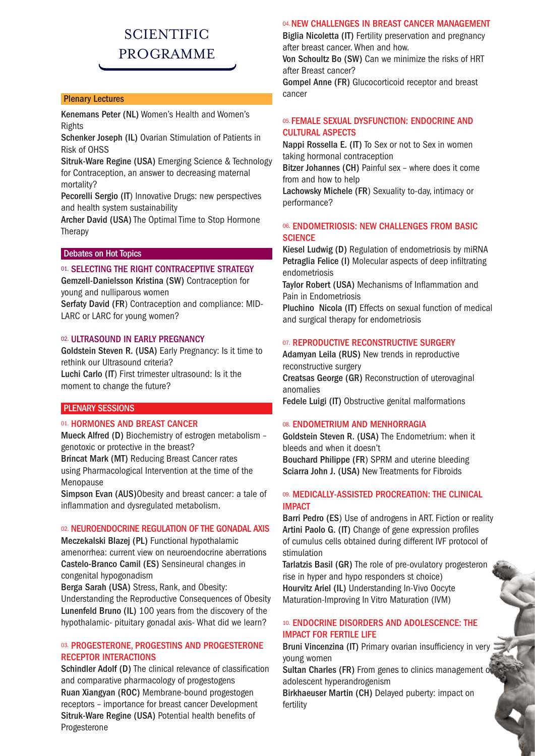### **SCIENTIFIC** programme

#### Plenary Lectures

Kenemans Peter (NL) Women's Health and Women's Rights

Schenker Joseph (IL) Ovarian Stimulation of Patients in Risk of OHSS

Sitruk-Ware Regine (USA) Emerging Science & Technology for Contraception, an answer to decreasing maternal mortality?

Pecorelli Sergio (IT) Innovative Drugs: new perspectives and health system sustainability

Archer David (USA) The Optimal Time to Stop Hormone Therapy

#### Debates on Hot Topics

#### 01. SELECTING THE RIGHT CONTRACEPTIVE STRATEGY

Gemzell-Danielsson Kristina (SW) Contraception for young and nulliparous women

Serfaty David (FR) Contraception and compliance: MID-LARC or LARC for young women?

#### 02. ULTRASOUND IN EARLY PREGNANCY

Goldstein Steven R. (USA) Early Pregnancy: Is it time to rethink our Ultrasound criteria?

Luchi Carlo (IT) First trimester ultrasound: Is it the moment to change the future?

#### PLENARY SESSIONS

#### 01. HORMONES AND BREAST CANCER

Mueck Alfred (D) Biochemistry of estrogen metabolism – genotoxic or protective in the breast?

Brincat Mark (MT) Reducing Breast Cancer rates using Pharmacological Intervention at the time of the Menopause

Simpson Evan (AUS)Obesity and breast cancer: a tale of inflammation and dysregulated metabolism.

#### 02. NEUROENDOCRINE REGULATION OF THE GONADAL AXIS

Meczekalski Blazej (PL) Functional hypothalamic amenorrhea: current view on neuroendocrine aberrations Castelo-Branco Camil (ES) Sensineural changes in congenital hypogonadism

Berga Sarah (USA) Stress, Rank, and Obesity:

Understanding the Reproductive Consequences of Obesity Lunenfeld Bruno (IL) 100 years from the discovery of the hypothalamic- pituitary gonadal axis- What did we learn?

#### 03. PROGESTERONE, PROGESTINS AND PROGESTERONE RECEPTOR INTERACTIONS

Schindler Adolf (D) The clinical relevance of classification and comparative pharmacology of progestogens Ruan Xiangyan (ROC) Membrane-bound progestogen receptors – importance for breast cancer Development Sitruk-Ware Regine (USA) Potential health benefits of Progesterone

#### 04. NEW CHALLENGES IN BREAST CANCER MANAGEMENT

Biglia Nicoletta (IT) Fertility preservation and pregnancy after breast cancer. When and how.

Von Schoultz Bo (SW) Can we minimize the risks of HRT after Breast cancer?

Gompel Anne (FR) Glucocorticoid receptor and breast cancer

#### 05. FEMALE SEXUAL DYSFUNCTION: ENDOCRINE AND CULTURAL ASPECTS

Nappi Rossella E. (IT) To Sex or not to Sex in women taking hormonal contraception

Bitzer Johannes (CH) Painful sex – where does it come from and how to help

Lachowsky Michele (FR) Sexuality to-day, intimacy or performance?

#### 06. ENDOMETRIOSIS: NEW CHALLENGES FROM BASIC **SCIENCE**

Kiesel Ludwig (D) Regulation of endometriosis by miRNA Petraglia Felice (I) Molecular aspects of deep infiltrating endometriosis

Taylor Robert (USA) Mechanisms of Inflammation and Pain in Endometriosis

Pluchino Nicola (IT) Effects on sexual function of medical and surgical therapy for endometriosis

#### 07. REPRODUCTIVE RECONSTRUCTIVE SURGERY

Adamyan Leila (RUS) New trends in reproductive reconstructive surgery Creatsas George (GR) Reconstruction of uterovaginal anomalies

Fedele Luigi (IT) Obstructive genital malformations

#### 08. ENDOMETRIUM AND MENHORRAGIA

Goldstein Steven R. (USA) The Endometrium: when it bleeds and when it doesn't Bouchard Philippe (FR) SPRM and uterine bleeding Sciarra John J. (USA) New Treatments for Fibroids

#### 09. MEDICALLY-ASSISTED PROCREATION: THE CLINICAL IMPACT

Barri Pedro (ES) Use of androgens in ART. Fiction or reality Artini Paolo G. (IT) Change of gene expression profiles of cumulus cells obtained during different IVF protocol of stimulation

Tarlatzis Basil (GR) The role of pre-ovulatory progesteron rise in hyper and hypo responders st choice) Hourvitz Ariel (IL) Understanding In-Vivo Oocyte Maturation-Improving In Vitro Maturation (IVM)

#### 10. ENDOCRINE DISORDERS AND ADOLESCENCE: THE IMPACT FOR FERTILE LIFE

Bruni Vincenzina (IT) Primary ovarian insufficiency in very young women

Sultan Charles (FR) From genes to clinics management of adolescent hyperandrogenism

Birkhaeuser Martin (CH) Delayed puberty: impact on fertility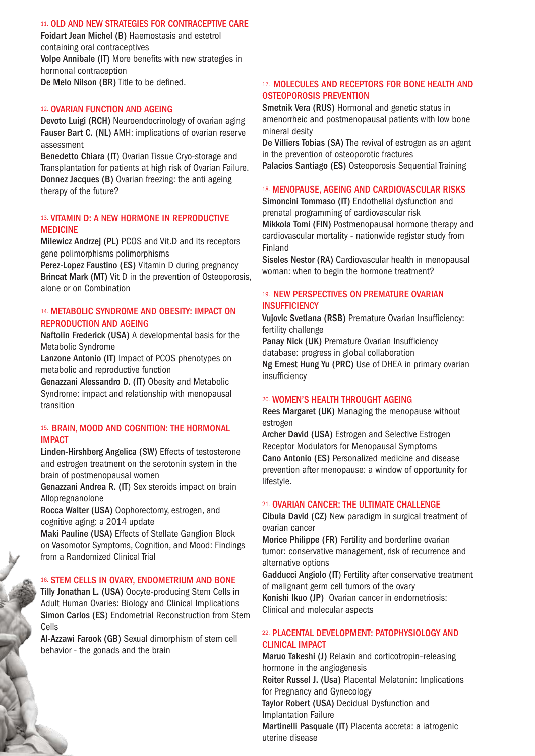#### 11. OLD AND NEW STRATEGIES FOR CONTRACEPTIVE CARE

Foidart Jean Michel (B) Haemostasis and estetrol containing oral contraceptives Volpe Annibale (IT) More benefits with new strategies in hormonal contraception De Melo Nilson (BR) Title to be defined.

#### 12. OVARIAN FUNCTION AND AGEING

Devoto Luigi (RCH) Neuroendocrinology of ovarian aging Fauser Bart C. (NL) AMH: implications of ovarian reserve assessment

Benedetto Chiara (IT) Ovarian Tissue Cryo-storage and Transplantation for patients at high risk of Ovarian Failure. Donnez Jacques (B) Ovarian freezing: the anti ageing therapy of the future?

#### 13. VITAMIN D: A NEW HORMONE IN REPRODUCTIVE MEDICINE

Milewicz Andrzej (PL) PCOS and Vit.D and its receptors gene polimorphisms polimorphisms

Perez-Lopez Faustino (ES) Vitamin D during pregnancy Brincat Mark (MT) Vit D in the prevention of Osteoporosis, alone or on Combination

#### 14. METABOLIC SYNDROME AND OBESITY: IMPACT ON REPRODUCTION AND AGEING

Naftolin Frederick (USA) A developmental basis for the Metabolic Syndrome

Lanzone Antonio (IT) Impact of PCOS phenotypes on metabolic and reproductive function

Genazzani Alessandro D. (IT) Obesity and Metabolic Syndrome: impact and relationship with menopausal transition

#### 15. BRAIN, MOOD AND COGNITION: THE HORMONAL IMPACT

Linden-Hirshberg Angelica (SW) Effects of testosterone and estrogen treatment on the serotonin system in the brain of postmenopausal women

Genazzani Andrea R. (IT) Sex steroids impact on brain Allopregnanolone

Rocca Walter (USA) Oophorectomy, estrogen, and cognitive aging: a 2014 update

Maki Pauline (USA) Effects of Stellate Ganglion Block on Vasomotor Symptoms, Cognition, and Mood: Findings from a Randomized Clinical Trial

#### 16. STEM CELLS IN OVARY, ENDOMETRIUM AND BONE

Tilly Jonathan L. (USA) Oocyte-producing Stem Cells in Adult Human Ovaries: Biology and Clinical Implications Simon Carlos (ES) Endometrial Reconstruction from Stem Cells

Al-Azzawi Farook (GB) Sexual dimorphism of stem cell behavior - the gonads and the brain

#### 17. MOLECULES AND RECEPTORS FOR BONE HEALTH AND OSTEOPOROSIS PREVENTION

Smetnik Vera (RUS) Hormonal and genetic status in amenorrheic and postmenopausal patients with low bone mineral desity

De Villiers Tobias (SA) The revival of estrogen as an agent in the prevention of osteoporotic fractures

Palacios Santiago (ES) Osteoporosis Sequential Training

#### 18. MENOPAUSE, AGEING AND CARDIOVASCULAR RISKS

Simoncini Tommaso (IT) Endothelial dysfunction and prenatal programming of cardiovascular risk Mikkola Tomi (FIN) Postmenopausal hormone therapy and cardiovascular mortality - nationwide register study from Finland

Siseles Nestor (RA) Cardiovascular health in menopausal woman: when to begin the hormone treatment?

#### 19. NEW PERSPECTIVES ON PREMATURE OVARIAN **INSUFFICIENCY**

Vujovic Svetlana (RSB) Premature Ovarian Insufficiency: fertility challenge

Panay Nick (UK) Premature Ovarian Insufficiency database: progress in global collaboration Ng Ernest Hung Yu (PRC) Use of DHEA in primary ovarian

#### 20. WOMEN'S HEALTH THROUGHT AGEING

insufficiency

Rees Margaret (UK) Managing the menopause without estrogen

Archer David (USA) Estrogen and Selective Estrogen Receptor Modulators for Menopausal Symptoms Cano Antonio (ES) Personalized medicine and disease prevention after menopause: a window of opportunity for lifestyle.

#### 21. OVARIAN CANCER: THE ULTIMATE CHALLENGE

Cibula David (CZ) New paradigm in surgical treatment of ovarian cancer

Morice Philippe (FR) Fertility and borderline ovarian tumor: conservative management, risk of recurrence and alternative options

Gadducci Angiolo (IT) Fertility after conservative treatment of malignant germ cell tumors of the ovary Konishi Ikuo (JP) Ovarian cancer in endometriosis: Clinical and molecular aspects

#### 22. PLACENTAL DEVELOPMENT: PATOPHYSIOLOGY AND CLINICAL IMPACT

Maruo Takeshi (J) Relaxin and corticotropin–releasing hormone in the angiogenesis Reiter Russel J. (Usa) Placental Melatonin: Implications for Pregnancy and Gynecology Taylor Robert (USA) Decidual Dysfunction and Implantation Failure Martinelli Pasquale (IT) Placenta accreta: a iatrogenic uterine disease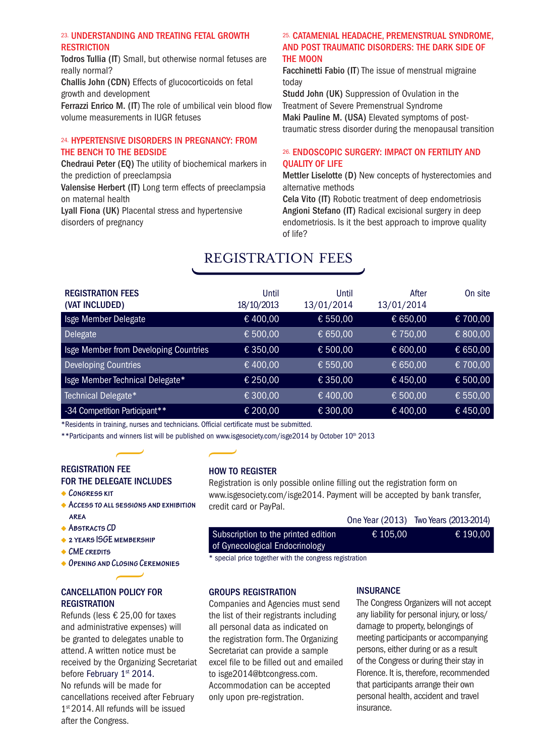#### 23. UNDERSTANDING AND TREATING FETAL GROWTH **RESTRICTION**

Todros Tullia (IT) Small, but otherwise normal fetuses are really normal?

Challis John (CDN) Effects of glucocorticoids on fetal growth and development

Ferrazzi Enrico M. (IT) The role of umbilical vein blood flow volume measurements in IUGR fetuses

#### 24. HYPERTENSIVE DISORDERS IN PREGNANCY: FROM THE BENCH TO THE BEDSIDE

Chedraui Peter (EQ) The utility of biochemical markers in the prediction of preeclampsia

Valensise Herbert (IT) Long term effects of preeclampsia on maternal health

Lyall Fiona (UK) Placental stress and hypertensive disorders of pregnancy

#### 25. CATAMENIAL HEADACHE, PREMENSTRUAL SYNDROME, AND POST TRAUMATIC DISORDERS: THE DARK SIDE OF THE MOON

Facchinetti Fabio (IT) The issue of menstrual migraine today

Studd John (UK) Suppression of Ovulation in the Treatment of Severe Premenstrual Syndrome Maki Pauline M. (USA) Elevated symptoms of posttraumatic stress disorder during the menopausal transition

#### 26. ENDOSCOPIC SURGERY: IMPACT ON FERTILITY AND QUALITY OF LIFE

Mettler Liselotte (D) New concepts of hysterectomies and alternative methods

Cela Vito (IT) Robotic treatment of deep endometriosis Angioni Stefano (IT) Radical excisional surgery in deep endometriosis. Is it the best approach to improve quality of life?

### registration fees

| <b>REGISTRATION FEES</b><br>(VAT INCLUDED) | Until<br>18/10/2013 | Until<br>13/01/2014 | After<br>13/01/2014 | On site  |
|--------------------------------------------|---------------------|---------------------|---------------------|----------|
| Isge Member Delegate                       | €400,00             | € 550,00            | € 650,00            | € 700,00 |
| Delegate                                   | € 500,00            | € 650,00            | € 750,00            | € 800,00 |
| Isge Member from Developing Countries      | € 350,00            | € 500,00            | € 600,00            | € 650,00 |
| Developing Countries                       | €400,00             | € 550,00            | € 650,00            | € 700,00 |
| Isge Member Technical Delegate*            | € 250,00            | € 350,00            | €450,00             | € 500,00 |
| Technical Delegate*                        | € 300,00            | € 400,00            | € 500,00            | € 550,00 |
| -34 Competition Participant**              | € 200,00            | € 300,00            | €400,00             | €450,00  |

\*Residents in training, nurses and technicians. Official certificate must be submitted.

\*\* Participants and winners list will be published on www.isgesociety.com/isge2014 by October 10th 2013

#### registration fee for the delegate includes

- **Congress kit**
- **Access to all sessions and exhibition area**
- **Abstracts CD**
- **2 years ISGE membership**
- **CME credits**
- **Opening and Closing Ceremonies**

#### cancellation policy for **REGISTRATION**

Refunds (less € 25,00 for taxes and administrative expenses) will be granted to delegates unable to attend. A written notice must be received by the Organizing Secretariat before February 1st 2014. No refunds will be made for cancellations received after February 1<sup>st</sup> 2014. All refunds will be issued after the Congress.

#### how to register

Registration is only possible online filling out the registration form on www.isgesociety.com/isge2014. Payment will be accepted by bank transfer, credit card or PayPal.

|                                     |          | UILE TEAT (2013) TWO TEATS (2013-2014) |
|-------------------------------------|----------|----------------------------------------|
| Subscription to the printed edition | € 105.00 | € 190.00                               |
| of Gynecological Endocrinology      |          |                                        |
|                                     |          |                                        |

\* special price together with the congress registration

#### groups registration

Companies and Agencies must send the list of their registrants including all personal data as indicated on the registration form. The Organizing Secretariat can provide a sample excel file to be filled out and emailed to isge2014@btcongress.com. Accommodation can be accepted only upon pre-registration.

#### **INSURANCE**

The Congress Organizers will not accept any liability for personal injury, or loss/ damage to property, belongings of meeting participants or accompanying persons, either during or as a result of the Congress or during their stay in Florence. It is, therefore, recommended that participants arrange their own personal health, accident and travel insurance.

One Year (2013) Two Years (2013-2014)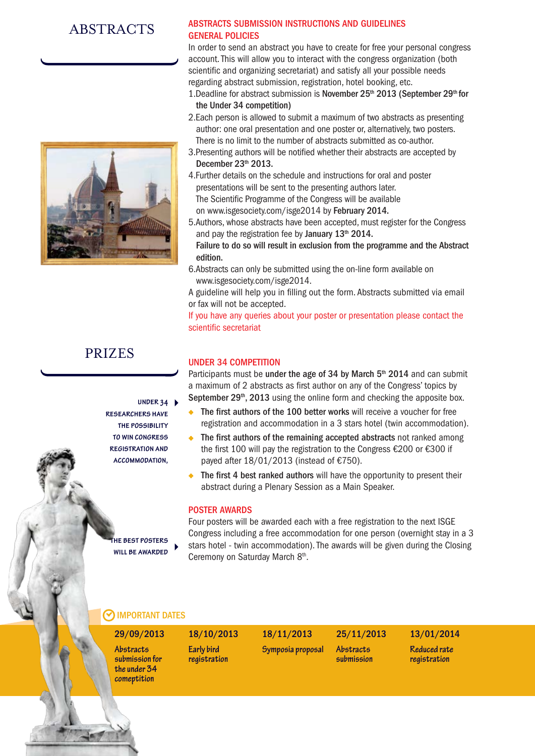### ABSTRACTS



### prizes

**under 34 researchers have the possibility to win congress registration and accommodation,**

**the best posters will be awarded**

#### Abstracts submission instructions and guidelines GENERAL POLICIES

In order to send an abstract you have to create for free your personal congress account. This will allow you to interact with the congress organization (both scientific and organizing secretariat) and satisfy all your possible needs regarding abstract submission, registration, hotel booking, etc.

- 1. Deadline for abstract submission is November 25<sup>th</sup> 2013 (September 29<sup>th</sup> for the Under 34 competition)
- 2.Each person is allowed to submit a maximum of two abstracts as presenting author: one oral presentation and one poster or, alternatively, two posters. There is no limit to the number of abstracts submitted as co-author.
- 3.Presenting authors will be notified whether their abstracts are accepted by December  $23<sup>th</sup>$  2013.
- 4.Further details on the schedule and instructions for oral and poster presentations will be sent to the presenting authors later. The Scientific Programme of the Congress will be available on www.isgesociety.com/isge2014 by February 2014.
- 5.Authors, whose abstracts have been accepted, must register for the Congress and pay the registration fee by January  $13<sup>th</sup> 2014$ . Failure to do so will result in exclusion from the programme and the Abstract edition.
- 6.Abstracts can only be submitted using the on-line form available on www.isgesociety.com/isge2014.
- A guideline will help you in filling out the form. Abstracts submitted via email or fax will not be accepted.

If you have any queries about your poster or presentation please contact the scientific secretariat

#### UNDER 34 COMPETITION

Participants must be under the age of 34 by March 5<sup>th</sup> 2014 and can submit a maximum of 2 abstracts as first author on any of the Congress' topics by September 29<sup>th</sup>, 2013 using the online form and checking the apposite box.

- The first authors of the 100 better works will receive a voucher for free registration and accommodation in a 3 stars hotel (twin accommodation).
- The first authors of the remaining accepted abstracts not ranked among the first 100 will pay the registration to the Congress €200 or €300 if payed after 18/01/2013 (instead of €750).
- The first 4 best ranked authors will have the opportunity to present their  $\ddot{\bullet}$ abstract during a Plenary Session as a Main Speaker.

#### POSTER AWARDS

Four posters will be awarded each with a free registration to the next ISGE Congress including a free accommodation for one person (overnight stay in a 3 stars hotel - twin accommodation). The awards will be given during the Closing Ceremony on Saturday March 8th.

> **Abstracts submission**

### **MPORTANT DATES**

**submission for the under 34 comeptition**

Abstracts Early bird Symposia proposal **Early bird registration**

### 29/09/2013 18/10/2013 18/11/2013 25/11/2013 13/01/2014

**Reduced rate registration**